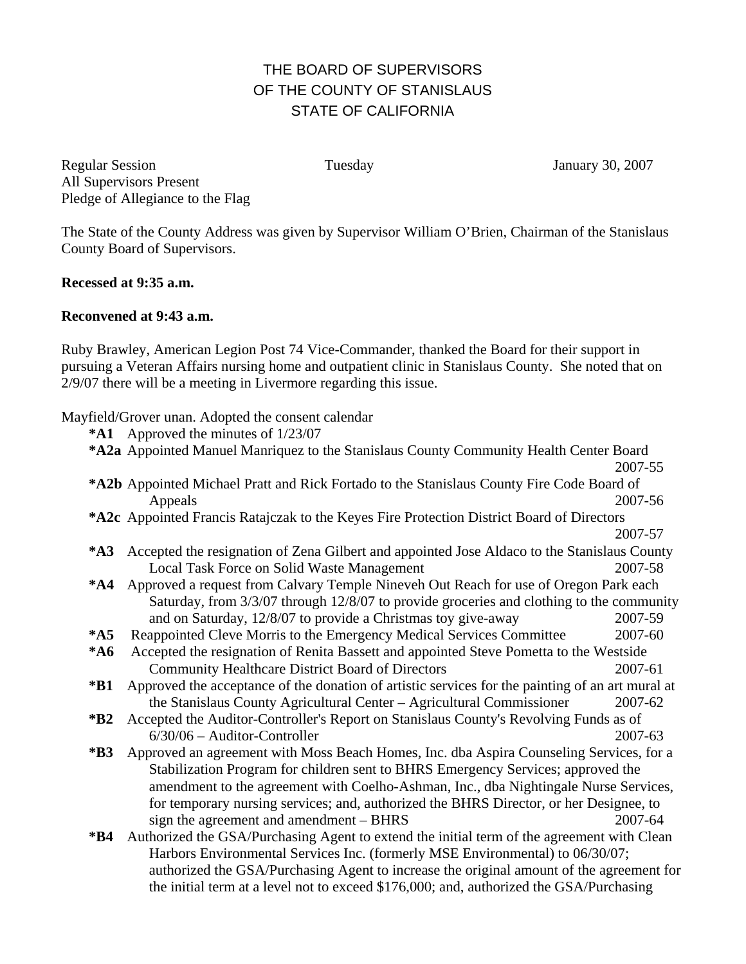## THE BOARD OF SUPERVISORS OF THE COUNTY OF STANISLAUS STATE OF CALIFORNIA

Regular Session Tuesday Tuesday January 30, 2007 All Supervisors Present Pledge of Allegiance to the Flag

The State of the County Address was given by Supervisor William O'Brien, Chairman of the Stanislaus County Board of Supervisors.

## **Recessed at 9:35 a.m.**

## **Reconvened at 9:43 a.m.**

Ruby Brawley, American Legion Post 74 Vice-Commander, thanked the Board for their support in pursuing a Veteran Affairs nursing home and outpatient clinic in Stanislaus County. She noted that on 2/9/07 there will be a meeting in Livermore regarding this issue.

Mayfield/Grover unan. Adopted the consent calendar

| $*$ A1                                                                                           | Approved the minutes of 1/23/07                                                                  |         |  |
|--------------------------------------------------------------------------------------------------|--------------------------------------------------------------------------------------------------|---------|--|
| *A2a Appointed Manuel Manriquez to the Stanislaus County Community Health Center Board           |                                                                                                  |         |  |
|                                                                                                  |                                                                                                  | 2007-55 |  |
| <b>*A2b</b> Appointed Michael Pratt and Rick Fortado to the Stanislaus County Fire Code Board of |                                                                                                  |         |  |
|                                                                                                  | Appeals                                                                                          | 2007-56 |  |
| *A2c Appointed Francis Ratajczak to the Keyes Fire Protection District Board of Directors        |                                                                                                  |         |  |
|                                                                                                  |                                                                                                  | 2007-57 |  |
| $*A3$                                                                                            | Accepted the resignation of Zena Gilbert and appointed Jose Aldaco to the Stanislaus County      |         |  |
|                                                                                                  | Local Task Force on Solid Waste Management                                                       | 2007-58 |  |
| $*AA$                                                                                            | Approved a request from Calvary Temple Nineveh Out Reach for use of Oregon Park each             |         |  |
|                                                                                                  | Saturday, from 3/3/07 through 12/8/07 to provide groceries and clothing to the community         |         |  |
|                                                                                                  | and on Saturday, 12/8/07 to provide a Christmas toy give-away                                    | 2007-59 |  |
| $*$ A5                                                                                           | Reappointed Cleve Morris to the Emergency Medical Services Committee                             | 2007-60 |  |
| $*A6$                                                                                            | Accepted the resignation of Renita Bassett and appointed Steve Pometta to the Westside           |         |  |
|                                                                                                  | <b>Community Healthcare District Board of Directors</b>                                          | 2007-61 |  |
| *B1                                                                                              | Approved the acceptance of the donation of artistic services for the painting of an art mural at |         |  |
|                                                                                                  | the Stanislaus County Agricultural Center - Agricultural Commissioner                            | 2007-62 |  |
| $*B2$                                                                                            | Accepted the Auditor-Controller's Report on Stanislaus County's Revolving Funds as of            |         |  |
|                                                                                                  | $6/30/06$ – Auditor-Controller                                                                   | 2007-63 |  |
| $*B3$                                                                                            | Approved an agreement with Moss Beach Homes, Inc. dba Aspira Counseling Services, for a          |         |  |
|                                                                                                  | Stabilization Program for children sent to BHRS Emergency Services; approved the                 |         |  |
|                                                                                                  | amendment to the agreement with Coelho-Ashman, Inc., dba Nightingale Nurse Services,             |         |  |
|                                                                                                  | for temporary nursing services; and, authorized the BHRS Director, or her Designee, to           |         |  |
|                                                                                                  | sign the agreement and amendment – BHRS                                                          | 2007-64 |  |
| $*B4$                                                                                            | Authorized the GSA/Purchasing Agent to extend the initial term of the agreement with Clean       |         |  |
|                                                                                                  | Harbors Environmental Services Inc. (formerly MSE Environmental) to 06/30/07;                    |         |  |
|                                                                                                  | authorized the GSA/Purchasing Agent to increase the original amount of the agreement for         |         |  |

the initial term at a level not to exceed \$176,000; and, authorized the GSA/Purchasing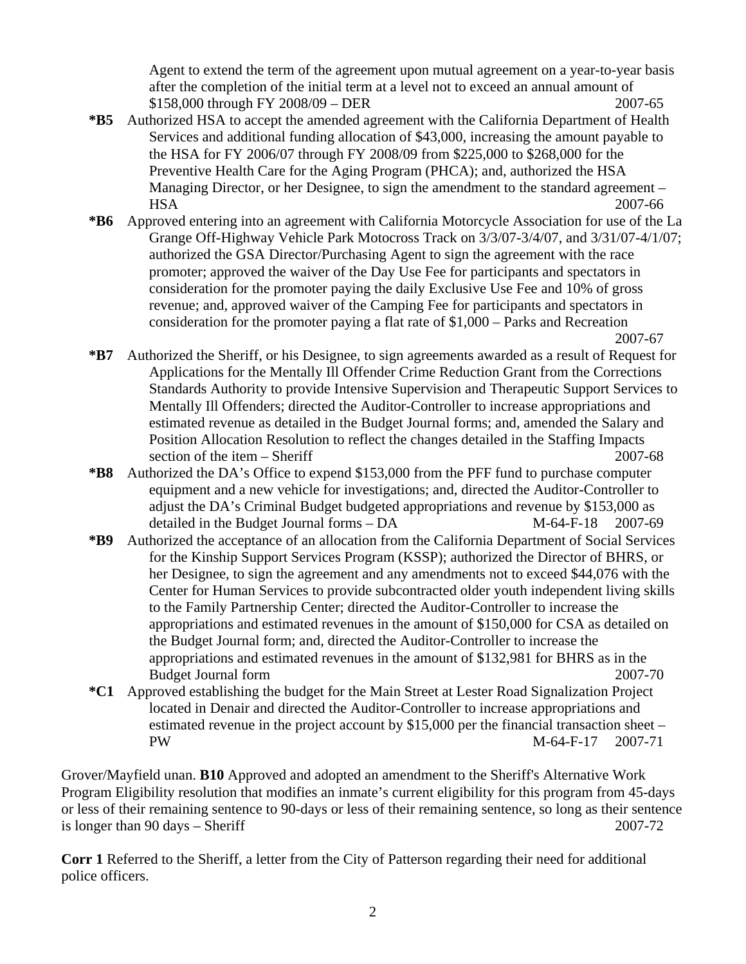Agent to extend the term of the agreement upon mutual agreement on a year-to-year basis after the completion of the initial term at a level not to exceed an annual amount of \$158,000 through FY 2008/09 – DER 2007-65

- **\*B5** Authorized HSA to accept the amended agreement with the California Department of Health Services and additional funding allocation of \$43,000, increasing the amount payable to the HSA for FY 2006/07 through FY 2008/09 from \$225,000 to \$268,000 for the Preventive Health Care for the Aging Program (PHCA); and, authorized the HSA Managing Director, or her Designee, to sign the amendment to the standard agreement – HSA 2007-66
- **\*B6** Approved entering into an agreement with California Motorcycle Association for use of the La Grange Off-Highway Vehicle Park Motocross Track on 3/3/07-3/4/07, and 3/31/07-4/1/07; authorized the GSA Director/Purchasing Agent to sign the agreement with the race promoter; approved the waiver of the Day Use Fee for participants and spectators in consideration for the promoter paying the daily Exclusive Use Fee and 10% of gross revenue; and, approved waiver of the Camping Fee for participants and spectators in consideration for the promoter paying a flat rate of \$1,000 – Parks and Recreation 2007-67

- **\*B7** Authorized the Sheriff, or his Designee, to sign agreements awarded as a result of Request for Applications for the Mentally Ill Offender Crime Reduction Grant from the Corrections Standards Authority to provide Intensive Supervision and Therapeutic Support Services to Mentally Ill Offenders; directed the Auditor-Controller to increase appropriations and estimated revenue as detailed in the Budget Journal forms; and, amended the Salary and Position Allocation Resolution to reflect the changes detailed in the Staffing Impacts section of the item – Sheriff 2007-68
- **\*B8** Authorized the DA's Office to expend \$153,000 from the PFF fund to purchase computer equipment and a new vehicle for investigations; and, directed the Auditor-Controller to adjust the DA's Criminal Budget budgeted appropriations and revenue by \$153,000 as detailed in the Budget Journal forms – DA M-64-F-18 2007-69
- **\*B9** Authorized the acceptance of an allocation from the California Department of Social Services for the Kinship Support Services Program (KSSP); authorized the Director of BHRS, or her Designee, to sign the agreement and any amendments not to exceed \$44,076 with the Center for Human Services to provide subcontracted older youth independent living skills to the Family Partnership Center; directed the Auditor-Controller to increase the appropriations and estimated revenues in the amount of \$150,000 for CSA as detailed on the Budget Journal form; and, directed the Auditor-Controller to increase the appropriations and estimated revenues in the amount of \$132,981 for BHRS as in the Budget Journal form 2007-70
- **\*C1** Approved establishing the budget for the Main Street at Lester Road Signalization Project located in Denair and directed the Auditor-Controller to increase appropriations and estimated revenue in the project account by \$15,000 per the financial transaction sheet – PW M-64-F-17 2007-71

Grover/Mayfield unan. **B10** Approved and adopted an amendment to the Sheriff's Alternative Work Program Eligibility resolution that modifies an inmate's current eligibility for this program from 45-days or less of their remaining sentence to 90-days or less of their remaining sentence, so long as their sentence is longer than  $90 \text{ days} - \text{Sheriff}$  2007-72

**Corr 1** Referred to the Sheriff, a letter from the City of Patterson regarding their need for additional police officers.